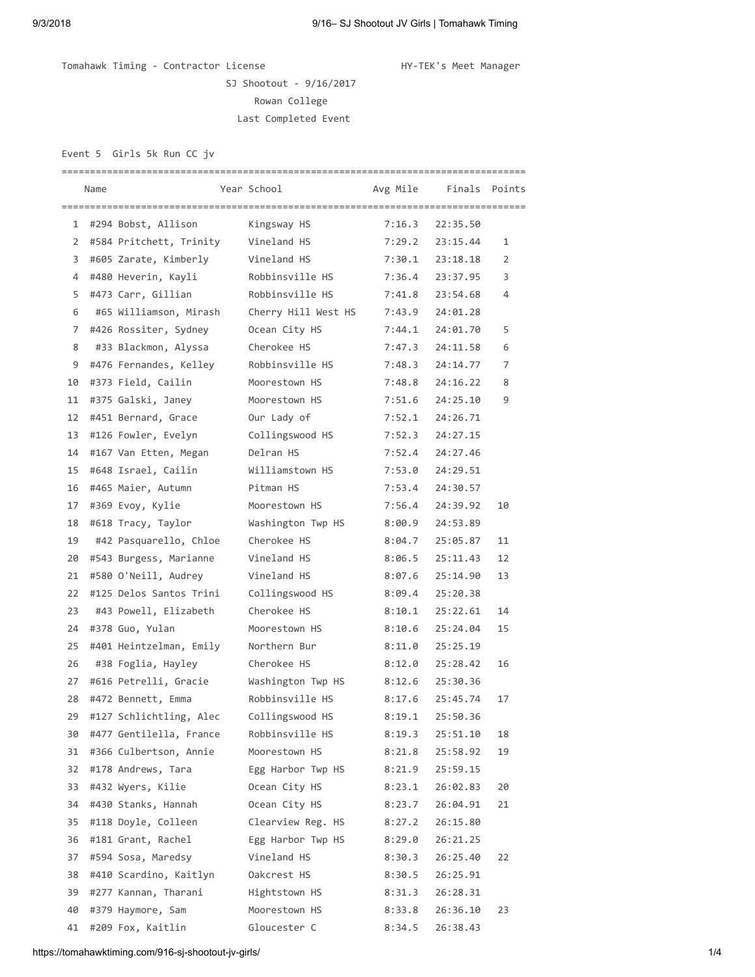Tomahawk Timing - Contractor License Manager HY-TEK's Meet Manager

SJ Shootout - 9/16/2017 Rowan College Last Completed Event

Event 5 Girls 5k Run CC jv

|    | Name |                           | Year School         |        | Avg Mile Finals Points |                |
|----|------|---------------------------|---------------------|--------|------------------------|----------------|
|    |      | 1 #294 Bobst, Allison     | Kingsway HS         | 7:16.3 | 22:35.50               |                |
|    |      | 2 #584 Pritchett, Trinity | Vineland HS         | 7:29.2 | 23:15.44               | 1              |
| 3  |      | #605 Zarate, Kimberly     | Vineland HS         | 7:30.1 | 23:18.18               | $\overline{2}$ |
| 4  |      | #480 Heverin, Kayli       | Robbinsville HS     | 7:36.4 | 23:37.95               | 3              |
| 5  |      | #473 Carr, Gillian        | Robbinsville HS     | 7:41.8 | 23:54.68               | 4              |
| 6  |      | #65 Williamson, Mirash    | Cherry Hill West HS | 7:43.9 | 24:01.28               |                |
| 7  |      | #426 Rossiter, Sydney     | Ocean City HS       | 7:44.1 | 24:01.70               | 5              |
| 8  |      | #33 Blackmon, Alyssa      | Cherokee HS         | 7:47.3 | 24:11.58               | 6              |
| 9  |      | #476 Fernandes, Kelley    | Robbinsville HS     | 7:48.3 | 24:14.77               | 7              |
| 10 |      | #373 Field, Cailin        | Moorestown HS       | 7:48.8 | 24:16.22               | 8              |
| 11 |      | #375 Galski, Janey        | Moorestown HS       | 7:51.6 | 24:25.10               | 9              |
| 12 |      | #451 Bernard, Grace       | Our Lady of         | 7:52.1 | 24:26.71               |                |
| 13 |      | #126 Fowler, Evelyn       | Collingswood HS     | 7:52.3 | 24:27.15               |                |
| 14 |      | #167 Van Etten, Megan     | Delran HS           | 7:52.4 | 24:27.46               |                |
| 15 |      | #648 Israel, Cailin       | Williamstown HS     | 7:53.0 | 24:29.51               |                |
| 16 |      | #465 Maier, Autumn        | Pitman HS           | 7:53.4 | 24:30.57               |                |
| 17 |      | #369 Evoy, Kylie          | Moorestown HS       | 7:56.4 | 24:39.92               | 10             |
| 18 |      | #618 Tracy, Taylor        | Washington Twp HS   | 8:00.9 | 24:53.89               |                |
| 19 |      | #42 Pasquarello, Chloe    | Cherokee HS         | 8:04.7 | 25:05.87               | 11             |
| 20 |      | #543 Burgess, Marianne    | Vineland HS         | 8:06.5 | 25:11.43               | 12             |
| 21 |      | #580 O'Neill, Audrey      | Vineland HS         | 8:07.6 | 25:14.90               | 13             |
| 22 |      | #125 Delos Santos Trini   | Collingswood HS     | 8:09.4 | 25:20.38               |                |
| 23 |      | #43 Powell, Elizabeth     | Cherokee HS         | 8:10.1 | 25:22.61               | 14             |
| 24 |      | #378 Guo, Yulan           | Moorestown HS       | 8:10.6 | 25:24.04               | 15             |
| 25 |      | #401 Heintzelman, Emily   | Northern Bur        | 8:11.0 | 25:25.19               |                |
| 26 |      | #38 Foglia, Hayley        | Cherokee HS         | 8:12.0 | 25:28.42               | 16             |
| 27 |      | #616 Petrelli, Gracie     | Washington Twp HS   | 8:12.6 | 25:30.36               |                |
| 28 |      | #472 Bennett, Emma        | Robbinsville HS     | 8:17.6 | 25:45.74               | 17             |
| 29 |      | #127 Schlichtling, Alec   | Collingswood HS     | 8:19.1 | 25:50.36               |                |
| 30 |      | #477 Gentilella, France   | Robbinsville HS     | 8:19.3 | 25:51.10               | 18             |
| 31 |      | #366 Culbertson, Annie    | Moorestown HS       | 8:21.8 | 25:58.92               | 19             |
| 32 |      | #178 Andrews, Tara        | Egg Harbor Twp HS   | 8:21.9 | 25:59.15               |                |
| 33 |      | #432 Wyers, Kilie         | Ocean City HS       | 8:23.1 | 26:02.83               | 20             |
| 34 |      | #430 Stanks, Hannah       | Ocean City HS       | 8:23.7 | 26:04.91               | 21             |
| 35 |      | #118 Doyle, Colleen       | Clearview Reg. HS   | 8:27.2 | 26:15.80               |                |
| 36 |      | #181 Grant, Rachel        | Egg Harbor Twp HS   | 8:29.0 | 26:21.25               |                |
| 37 |      | #594 Sosa, Maredsy        | Vineland HS         | 8:30.3 | 26:25.40               | 22             |
| 38 |      | #410 Scardino, Kaitlyn    | Oakcrest HS         | 8:30.5 | 26:25.91               |                |
| 39 |      | #277 Kannan, Tharani      | Hightstown HS       | 8:31.3 | 26:28.31               |                |
| 40 |      | #379 Haymore, Sam         | Moorestown HS       | 8:33.8 | 26:36.10               | 23             |
| 41 |      | #209 Fox, Kaitlin         | Gloucester C        | 8:34.5 | 26:38.43               |                |

https://tomahawktiming.com/916-sj-shootout-jv-girls/ 1/4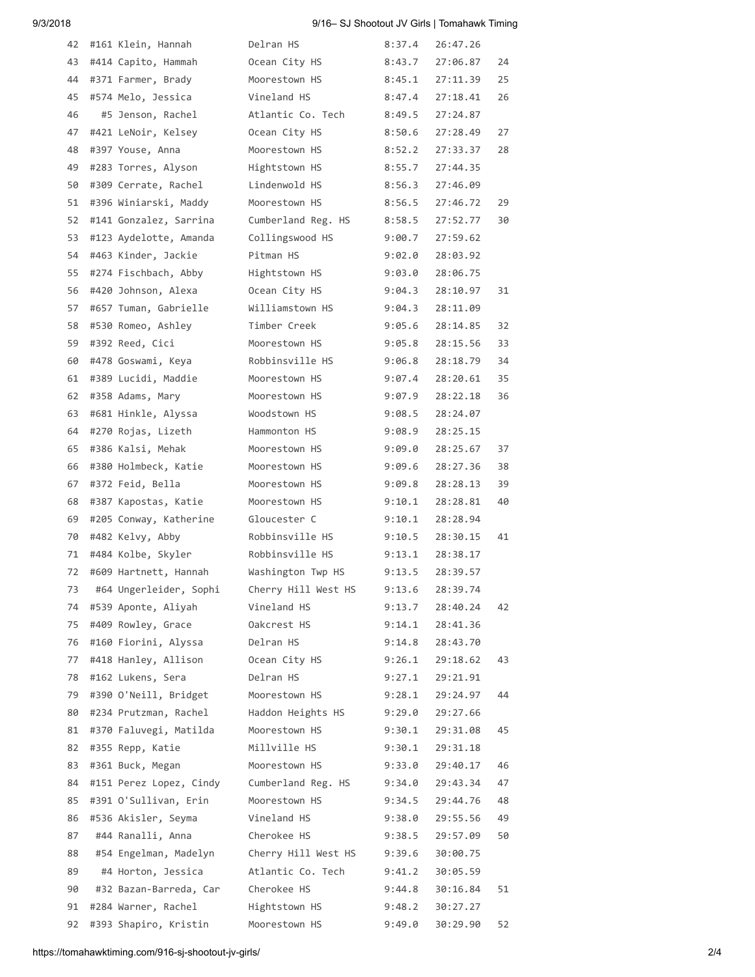## 9/3/2018 9/16– SJ Shootout JV Girls | Tomahawk Timing

| 42 | #161 Klein, Hannah      | Delran HS           | 8:37.4 | 26:47.26 |    |
|----|-------------------------|---------------------|--------|----------|----|
| 43 | #414 Capito, Hammah     | Ocean City HS       | 8:43.7 | 27:06.87 | 24 |
| 44 | #371 Farmer, Brady      | Moorestown HS       | 8:45.1 | 27:11.39 | 25 |
| 45 | #574 Melo, Jessica      | Vineland HS         | 8:47.4 | 27:18.41 | 26 |
| 46 | #5 Jenson, Rachel       | Atlantic Co. Tech   | 8:49.5 | 27:24.87 |    |
| 47 | #421 LeNoir, Kelsey     | Ocean City HS       | 8:50.6 | 27:28.49 | 27 |
| 48 | #397 Youse, Anna        | Moorestown HS       | 8:52.2 | 27:33.37 | 28 |
| 49 | #283 Torres, Alyson     | Hightstown HS       | 8:55.7 | 27:44.35 |    |
| 50 | #309 Cerrate, Rachel    | Lindenwold HS       | 8:56.3 | 27:46.09 |    |
| 51 | #396 Winiarski, Maddy   | Moorestown HS       | 8:56.5 | 27:46.72 | 29 |
| 52 | #141 Gonzalez, Sarrina  | Cumberland Reg. HS  | 8:58.5 | 27:52.77 | 30 |
| 53 | #123 Aydelotte, Amanda  | Collingswood HS     | 9:00.7 | 27:59.62 |    |
| 54 | #463 Kinder, Jackie     | Pitman HS           | 9:02.0 | 28:03.92 |    |
| 55 | #274 Fischbach, Abby    | Hightstown HS       | 9:03.0 | 28:06.75 |    |
| 56 | #420 Johnson, Alexa     | Ocean City HS       | 9:04.3 | 28:10.97 | 31 |
| 57 | #657 Tuman, Gabrielle   | Williamstown HS     | 9:04.3 | 28:11.09 |    |
| 58 | #530 Romeo, Ashley      | Timber Creek        | 9:05.6 | 28:14.85 | 32 |
| 59 | #392 Reed, Cici         | Moorestown HS       | 9:05.8 | 28:15.56 | 33 |
| 60 | #478 Goswami, Keya      | Robbinsville HS     | 9:06.8 | 28:18.79 | 34 |
| 61 | #389 Lucidi, Maddie     | Moorestown HS       | 9:07.4 | 28:20.61 | 35 |
| 62 | #358 Adams, Mary        | Moorestown HS       | 9:07.9 | 28:22.18 | 36 |
| 63 | #681 Hinkle, Alyssa     | Woodstown HS        | 9:08.5 | 28:24.07 |    |
| 64 | #270 Rojas, Lizeth      | Hammonton HS        | 9:08.9 | 28:25.15 |    |
| 65 | #386 Kalsi, Mehak       | Moorestown HS       | 9:09.0 | 28:25.67 | 37 |
| 66 | #380 Holmbeck, Katie    | Moorestown HS       | 9:09.6 | 28:27.36 | 38 |
| 67 | #372 Feid, Bella        | Moorestown HS       | 9:09.8 | 28:28.13 | 39 |
| 68 | #387 Kapostas, Katie    | Moorestown HS       | 9:10.1 | 28:28.81 | 40 |
| 69 | #205 Conway, Katherine  | Gloucester C        | 9:10.1 | 28:28.94 |    |
| 70 | #482 Kelvy, Abby        | Robbinsville HS     | 9:10.5 | 28:30.15 | 41 |
| 71 | #484 Kolbe, Skyler      | Robbinsville HS     | 9:13.1 | 28:38.17 |    |
| 72 | #609 Hartnett, Hannah   | Washington Twp HS   | 9:13.5 | 28:39.57 |    |
| 73 | #64 Ungerleider, Sophi  | Cherry Hill West HS | 9:13.6 | 28:39.74 |    |
| 74 | #539 Aponte, Aliyah     | Vineland HS         | 9:13.7 | 28:40.24 | 42 |
| 75 | #409 Rowley, Grace      | Oakcrest HS         | 9:14.1 | 28:41.36 |    |
| 76 | #160 Fiorini, Alyssa    | Delran HS           | 9:14.8 | 28:43.70 |    |
| 77 | #418 Hanley, Allison    | Ocean City HS       | 9:26.1 | 29:18.62 | 43 |
| 78 | #162 Lukens, Sera       | Delran HS           | 9:27.1 | 29:21.91 |    |
| 79 | #390 O'Neill, Bridget   | Moorestown HS       | 9:28.1 | 29:24.97 | 44 |
| 80 | #234 Prutzman, Rachel   | Haddon Heights HS   | 9:29.0 | 29:27.66 |    |
| 81 | #370 Faluvegi, Matilda  | Moorestown HS       | 9:30.1 | 29:31.08 | 45 |
| 82 | #355 Repp, Katie        | Millville HS        | 9:30.1 | 29:31.18 |    |
| 83 | #361 Buck, Megan        | Moorestown HS       | 9:33.0 | 29:40.17 | 46 |
| 84 | #151 Perez Lopez, Cindy | Cumberland Reg. HS  | 9:34.0 | 29:43.34 | 47 |
| 85 | #391 O'Sullivan, Erin   | Moorestown HS       | 9:34.5 | 29:44.76 | 48 |
| 86 | #536 Akisler, Seyma     | Vineland HS         | 9:38.0 | 29:55.56 | 49 |
| 87 | #44 Ranalli, Anna       | Cherokee HS         | 9:38.5 | 29:57.09 | 50 |
| 88 | #54 Engelman, Madelyn   | Cherry Hill West HS | 9:39.6 | 30:00.75 |    |
| 89 | #4 Horton, Jessica      | Atlantic Co. Tech   | 9:41.2 | 30:05.59 |    |
| 90 | #32 Bazan-Barreda, Car  | Cherokee HS         | 9:44.8 | 30:16.84 | 51 |
| 91 | #284 Warner, Rachel     | Hightstown HS       | 9:48.2 | 30:27.27 |    |
| 92 | #393 Shapiro, Kristin   | Moorestown HS       | 9:49.0 | 30:29.90 | 52 |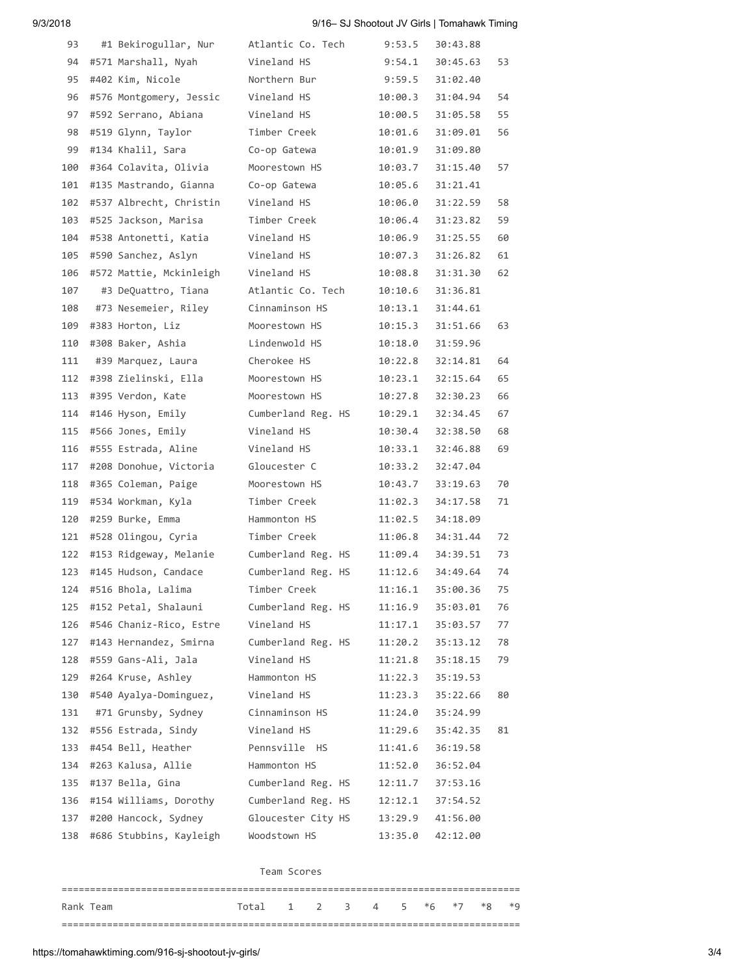## 9/3/2018 9/16– SJ Shootout JV Girls | Tomahawk Timing

| 93  | #1 Bekirogullar, Nur    | Atlantic Co. Tech  | 9:53.5  | 30:43.88 |    |
|-----|-------------------------|--------------------|---------|----------|----|
| 94  | #571 Marshall, Nyah     | Vineland HS        | 9:54.1  | 30:45.63 | 53 |
| 95  | #402 Kim, Nicole        | Northern Bur       | 9:59.5  | 31:02.40 |    |
| 96  | #576 Montgomery, Jessic | Vineland HS        | 10:00.3 | 31:04.94 | 54 |
| 97  | #592 Serrano, Abiana    | Vineland HS        | 10:00.5 | 31:05.58 | 55 |
| 98  | #519 Glynn, Taylor      | Timber Creek       | 10:01.6 | 31:09.01 | 56 |
| 99  | #134 Khalil, Sara       | Co-op Gatewa       | 10:01.9 | 31:09.80 |    |
| 100 | #364 Colavita, Olivia   | Moorestown HS      | 10:03.7 | 31:15.40 | 57 |
| 101 | #135 Mastrando, Gianna  | Co-op Gatewa       | 10:05.6 | 31:21.41 |    |
| 102 | #537 Albrecht, Christin | Vineland HS        | 10:06.0 | 31:22.59 | 58 |
| 103 | #525 Jackson, Marisa    | Timber Creek       | 10:06.4 | 31:23.82 | 59 |
| 104 | #538 Antonetti, Katia   | Vineland HS        | 10:06.9 | 31:25.55 | 60 |
| 105 | #590 Sanchez, Aslyn     | Vineland HS        | 10:07.3 | 31:26.82 | 61 |
| 106 | #572 Mattie, Mckinleigh | Vineland HS        | 10:08.8 | 31:31.30 | 62 |
| 107 | #3 DeQuattro, Tiana     | Atlantic Co. Tech  | 10:10.6 | 31:36.81 |    |
| 108 | #73 Nesemeier, Riley    | Cinnaminson HS     | 10:13.1 | 31:44.61 |    |
| 109 | #383 Horton, Liz        | Moorestown HS      | 10:15.3 | 31:51.66 | 63 |
| 110 | #308 Baker, Ashia       | Lindenwold HS      | 10:18.0 | 31:59.96 |    |
| 111 | #39 Marquez, Laura      | Cherokee HS        | 10:22.8 | 32:14.81 | 64 |
| 112 | #398 Zielinski, Ella    | Moorestown HS      | 10:23.1 | 32:15.64 | 65 |
| 113 | #395 Verdon, Kate       | Moorestown HS      | 10:27.8 | 32:30.23 | 66 |
| 114 | #146 Hyson, Emily       | Cumberland Reg. HS | 10:29.1 | 32:34.45 | 67 |
| 115 | #566 Jones, Emily       | Vineland HS        | 10:30.4 | 32:38.50 | 68 |
| 116 | #555 Estrada, Aline     | Vineland HS        | 10:33.1 | 32:46.88 | 69 |
| 117 | #208 Donohue, Victoria  | Gloucester C       | 10:33.2 | 32:47.04 |    |
| 118 | #365 Coleman, Paige     | Moorestown HS      | 10:43.7 | 33:19.63 | 70 |
| 119 | #534 Workman, Kyla      | Timber Creek       | 11:02.3 | 34:17.58 | 71 |
| 120 | #259 Burke, Emma        | Hammonton HS       | 11:02.5 | 34:18.09 |    |
| 121 | #528 Olingou, Cyria     | Timber Creek       | 11:06.8 | 34:31.44 | 72 |
| 122 | #153 Ridgeway, Melanie  | Cumberland Reg. HS | 11:09.4 | 34:39.51 | 73 |
| 123 | #145 Hudson, Candace    | Cumberland Reg. HS | 11:12.6 | 34:49.64 | 74 |
| 124 | #516 Bhola, Lalima      | Timber Creek       | 11:16.1 | 35:00.36 | 75 |
| 125 | #152 Petal, Shalauni    | Cumberland Reg. HS | 11:16.9 | 35:03.01 | 76 |
| 126 | #546 Chaniz-Rico, Estre | Vineland HS        | 11:17.1 | 35:03.57 | 77 |
| 127 | #143 Hernandez, Smirna  | Cumberland Reg. HS | 11:20.2 | 35:13.12 | 78 |
| 128 | #559 Gans-Ali, Jala     | Vineland HS        | 11:21.8 | 35:18.15 | 79 |
| 129 | #264 Kruse, Ashley      | Hammonton HS       | 11:22.3 | 35:19.53 |    |
| 130 | #540 Ayalya-Dominguez,  | Vineland HS        | 11:23.3 | 35:22.66 | 80 |
| 131 | #71 Grunsby, Sydney     | Cinnaminson HS     | 11:24.0 | 35:24.99 |    |
| 132 | #556 Estrada, Sindy     | Vineland HS        | 11:29.6 | 35:42.35 | 81 |
| 133 | #454 Bell, Heather      | Pennsville HS      | 11:41.6 | 36:19.58 |    |
| 134 | #263 Kalusa, Allie      | Hammonton HS       | 11:52.0 | 36:52.04 |    |
| 135 | #137 Bella, Gina        | Cumberland Reg. HS | 12:11.7 | 37:53.16 |    |
| 136 | #154 Williams, Dorothy  | Cumberland Reg. HS | 12:12.1 | 37:54.52 |    |
| 137 | #200 Hancock, Sydney    | Gloucester City HS | 13:29.9 | 41:56.00 |    |
| 138 | #686 Stubbins, Kayleigh | Woodstown HS       | 13:35.0 | 42:12.00 |    |
|     |                         |                    |         |          |    |

## Team Scores

| Rank Team | Total 1 2 3 4 5 *6 *7 *8 *9 |  |  |  |  |  |
|-----------|-----------------------------|--|--|--|--|--|
|           |                             |  |  |  |  |  |